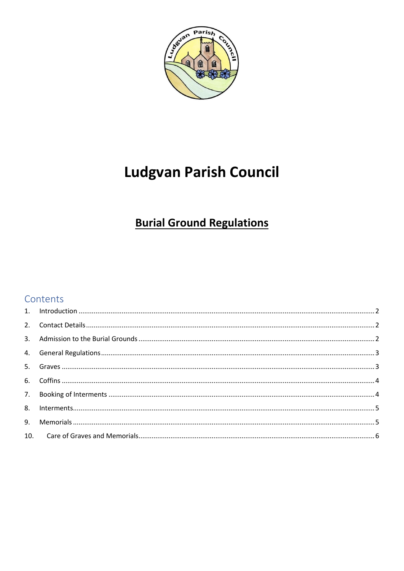

# **Ludgvan Parish Council**

## **Burial Ground Regulations**

## Contents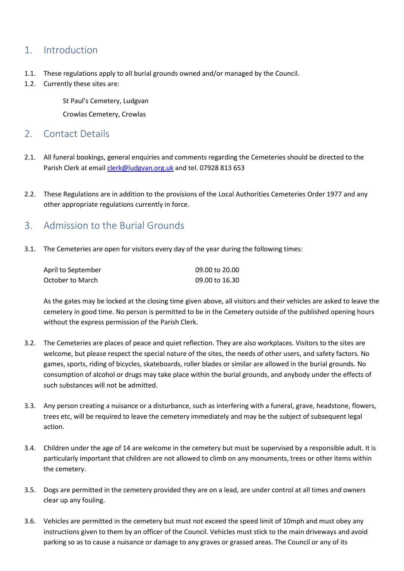## <span id="page-1-0"></span>1. Introduction

- 1.1. These regulations apply to all burial grounds owned and/or managed by the Council.
- 1.2. Currently these sites are:

St Paul's Cemetery, Ludgvan

Crowlas Cemetery, Crowlas

#### <span id="page-1-1"></span>2. Contact Details

- 2.1. All funeral bookings, general enquiries and comments regarding the Cemeteries should be directed to the Parish Clerk at email [clerk@ludgvan.org.uk](mailto:clerk@ludgvan.org.uk) and tel. 07928 813 653
- 2.2. These Regulations are in addition to the provisions of the Local Authorities Cemeteries Order 1977 and any other appropriate regulations currently in force.

## <span id="page-1-2"></span>3. Admission to the Burial Grounds

3.1. The Cemeteries are open for visitors every day of the year during the following times:

| April to September | 09.00 to 20.00 |
|--------------------|----------------|
| October to March   | 09.00 to 16.30 |

As the gates may be locked at the closing time given above, all visitors and their vehicles are asked to leave the cemetery in good time. No person is permitted to be in the Cemetery outside of the published opening hours without the express permission of the Parish Clerk.

- 3.2. The Cemeteries are places of peace and quiet reflection. They are also workplaces. Visitors to the sites are welcome, but please respect the special nature of the sites, the needs of other users, and safety factors. No games, sports, riding of bicycles, skateboards, roller blades or similar are allowed in the burial grounds. No consumption of alcohol or drugs may take place within the burial grounds, and anybody under the effects of such substances will not be admitted.
- 3.3. Any person creating a nuisance or a disturbance, such as interfering with a funeral, grave, headstone, flowers, trees etc, will be required to leave the cemetery immediately and may be the subject of subsequent legal action.
- 3.4. Children under the age of 14 are welcome in the cemetery but must be supervised by a responsible adult. It is particularly important that children are not allowed to climb on any monuments, trees or other items within the cemetery.
- 3.5. Dogs are permitted in the cemetery provided they are on a lead, are under control at all times and owners clear up any fouling.
- 3.6. Vehicles are permitted in the cemetery but must not exceed the speed limit of 10mph and must obey any instructions given to them by an officer of the Council. Vehicles must stick to the main driveways and avoid parking so as to cause a nuisance or damage to any graves or grassed areas. The Council or any of its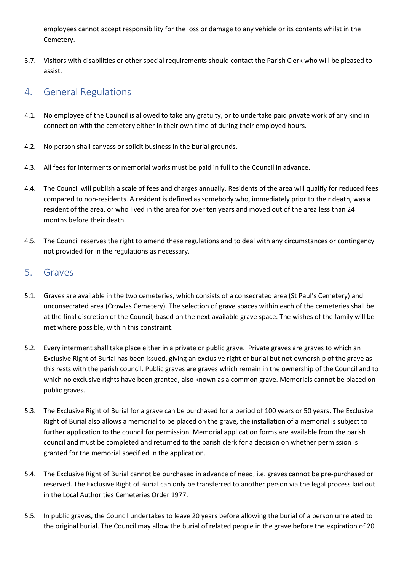employees cannot accept responsibility for the loss or damage to any vehicle or its contents whilst in the Cemetery.

3.7. Visitors with disabilities or other special requirements should contact the Parish Clerk who will be pleased to assist.

## <span id="page-2-0"></span>4. General Regulations

- 4.1. No employee of the Council is allowed to take any gratuity, or to undertake paid private work of any kind in connection with the cemetery either in their own time of during their employed hours.
- 4.2. No person shall canvass or solicit business in the burial grounds.
- 4.3. All fees for interments or memorial works must be paid in full to the Council in advance.
- 4.4. The Council will publish a scale of fees and charges annually. Residents of the area will qualify for reduced fees compared to non-residents. A resident is defined as somebody who, immediately prior to their death, was a resident of the area, or who lived in the area for over ten years and moved out of the area less than 24 months before their death.
- 4.5. The Council reserves the right to amend these regulations and to deal with any circumstances or contingency not provided for in the regulations as necessary.

#### <span id="page-2-1"></span>5. Graves

- 5.1. Graves are available in the two cemeteries, which consists of a consecrated area (St Paul's Cemetery) and unconsecrated area (Crowlas Cemetery). The selection of grave spaces within each of the cemeteries shall be at the final discretion of the Council, based on the next available grave space. The wishes of the family will be met where possible, within this constraint.
- 5.2. Every interment shall take place either in a private or public grave. Private graves are graves to which an Exclusive Right of Burial has been issued, giving an exclusive right of burial but not ownership of the grave as this rests with the parish council. Public graves are graves which remain in the ownership of the Council and to which no exclusive rights have been granted, also known as a common grave. Memorials cannot be placed on public graves.
- 5.3. The Exclusive Right of Burial for a grave can be purchased for a period of 100 years or 50 years. The Exclusive Right of Burial also allows a memorial to be placed on the grave, the installation of a memorial is subject to further application to the council for permission. Memorial application forms are available from the parish council and must be completed and returned to the parish clerk for a decision on whether permission is granted for the memorial specified in the application.
- 5.4. The Exclusive Right of Burial cannot be purchased in advance of need, i.e. graves cannot be pre-purchased or reserved. The Exclusive Right of Burial can only be transferred to another person via the legal process laid out in the Local Authorities Cemeteries Order 1977.
- 5.5. In public graves, the Council undertakes to leave 20 years before allowing the burial of a person unrelated to the original burial. The Council may allow the burial of related people in the grave before the expiration of 20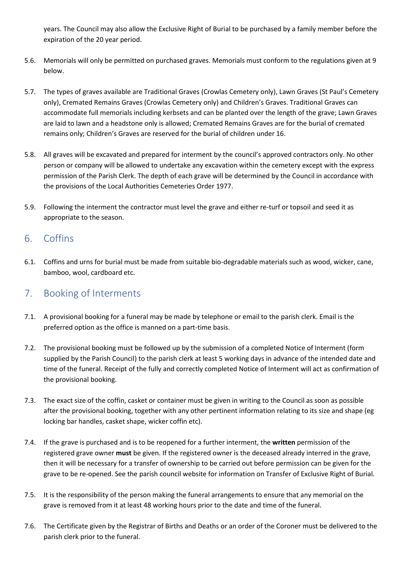years. The Council may also allow the Exclusive Right of Burial to be purchased by a family member before the expiration of the 20 year period.

- 5.6. Memorials will only be permitted on purchased graves. Memorials must conform to the regulations given at 9 below.
- 5.7. The types of graves available are Traditional Graves (Crowlas Cemetery only), Lawn Graves (St Paul's Cemetery only), Cremated Remains Graves (Crowlas Cemetery only) and Children's Graves. Traditional Graves can accommodate full memorials including kerbsets and can be planted over the length of the grave; Lawn Graves are laid to lawn and a headstone only is allowed; Cremated Remains Graves are for the burial of cremated remains only; Children's Graves are reserved for the burial of children under 16.
- 5.8. All graves will be excavated and prepared for interment by the council's approved contractors only. No other person or company will be allowed to undertake any excavation within the cemetery except with the express permission of the Parish Clerk. The depth of each grave will be determined by the Council in accordance with the provisions of the Local Authorities Cemeteries Order 1977.
- 5.9. Following the interment the contractor must level the grave and either re-turf or topsoil and seed it as appropriate to the season.

## <span id="page-3-0"></span>6. Coffins

6.1. Coffins and urns for burial must be made from suitable bio-degradable materials such as wood, wicker, cane, bamboo, wool, cardboard etc.

## <span id="page-3-1"></span>7. Booking of Interments

- 7.1. A provisional booking for a funeral may be made by telephone or email to the parish clerk. Email is the preferred option as the office is manned on a part-time basis.
- 7.2. The provisional booking must be followed up by the submission of a completed Notice of Interment (form supplied by the Parish Council) to the parish clerk at least 5 working days in advance of the intended date and time of the funeral. Receipt of the fully and correctly completed Notice of Interment will act as confirmation of the provisional booking.
- 7.3. The exact size of the coffin, casket or container must be given in writing to the Council as soon as possible after the provisional booking, together with any other pertinent information relating to its size and shape (eg locking bar handles, casket shape, wicker coffin etc).
- 7.4. If the grave is purchased and is to be reopened for a further interment, the **written** permission of the registered grave owner **must** be given. If the registered owner is the deceased already interred in the grave, then it will be necessary for a transfer of ownership to be carried out before permission can be given for the grave to be re-opened. See the parish council website for information on Transfer of Exclusive Right of Burial.
- 7.5. It is the responsibility of the person making the funeral arrangements to ensure that any memorial on the grave is removed from it at least 48 working hours prior to the date and time of the funeral.
- 7.6. The Certificate given by the Registrar of Births and Deaths or an order of the Coroner must be delivered to the parish clerk prior to the funeral.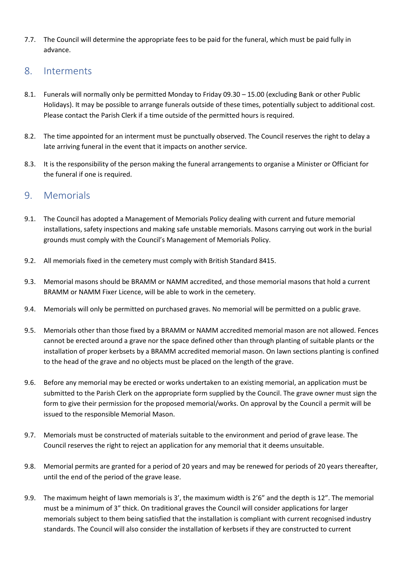7.7. The Council will determine the appropriate fees to be paid for the funeral, which must be paid fully in advance.

#### <span id="page-4-0"></span>8. Interments

- 8.1. Funerals will normally only be permitted Monday to Friday 09.30 15.00 (excluding Bank or other Public Holidays). It may be possible to arrange funerals outside of these times, potentially subject to additional cost. Please contact the Parish Clerk if a time outside of the permitted hours is required.
- 8.2. The time appointed for an interment must be punctually observed. The Council reserves the right to delay a late arriving funeral in the event that it impacts on another service.
- 8.3. It is the responsibility of the person making the funeral arrangements to organise a Minister or Officiant for the funeral if one is required.

#### <span id="page-4-1"></span>9. Memorials

- 9.1. The Council has adopted a Management of Memorials Policy dealing with current and future memorial installations, safety inspections and making safe unstable memorials. Masons carrying out work in the burial grounds must comply with the Council's Management of Memorials Policy.
- 9.2. All memorials fixed in the cemetery must comply with British Standard 8415.
- 9.3. Memorial masons should be BRAMM or NAMM accredited, and those memorial masons that hold a current BRAMM or NAMM Fixer Licence, will be able to work in the cemetery.
- 9.4. Memorials will only be permitted on purchased graves. No memorial will be permitted on a public grave.
- 9.5. Memorials other than those fixed by a BRAMM or NAMM accredited memorial mason are not allowed. Fences cannot be erected around a grave nor the space defined other than through planting of suitable plants or the installation of proper kerbsets by a BRAMM accredited memorial mason. On lawn sections planting is confined to the head of the grave and no objects must be placed on the length of the grave.
- 9.6. Before any memorial may be erected or works undertaken to an existing memorial, an application must be submitted to the Parish Clerk on the appropriate form supplied by the Council. The grave owner must sign the form to give their permission for the proposed memorial/works. On approval by the Council a permit will be issued to the responsible Memorial Mason.
- 9.7. Memorials must be constructed of materials suitable to the environment and period of grave lease. The Council reserves the right to reject an application for any memorial that it deems unsuitable.
- 9.8. Memorial permits are granted for a period of 20 years and may be renewed for periods of 20 years thereafter, until the end of the period of the grave lease.
- 9.9. The maximum height of lawn memorials is 3', the maximum width is 2'6" and the depth is 12". The memorial must be a minimum of 3" thick. On traditional graves the Council will consider applications for larger memorials subject to them being satisfied that the installation is compliant with current recognised industry standards. The Council will also consider the installation of kerbsets if they are constructed to current